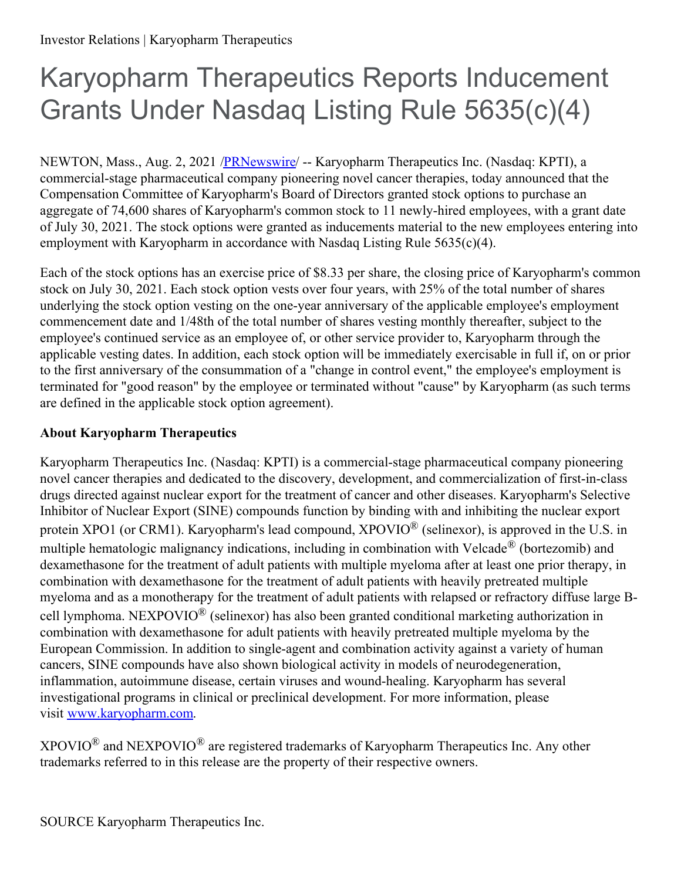## Karyopharm Therapeutics Reports Inducement Grants Under Nasdaq Listing Rule 5635(c)(4)

NEWTON, Mass., Aug. 2, 2021 [/PRNewswire](http://www.prnewswire.com/)/ -- Karyopharm Therapeutics Inc. (Nasdaq: KPTI), a commercial-stage pharmaceutical company pioneering novel cancer therapies, today announced that the Compensation Committee of Karyopharm's Board of Directors granted stock options to purchase an aggregate of 74,600 shares of Karyopharm's common stock to 11 newly-hired employees, with a grant date of July 30, 2021. The stock options were granted as inducements material to the new employees entering into employment with Karyopharm in accordance with Nasdaq Listing Rule 5635(c)(4).

Each of the stock options has an exercise price of \$8.33 per share, the closing price of Karyopharm's common stock on July 30, 2021. Each stock option vests over four years, with 25% of the total number of shares underlying the stock option vesting on the one-year anniversary of the applicable employee's employment commencement date and 1/48th of the total number of shares vesting monthly thereafter, subject to the employee's continued service as an employee of, or other service provider to, Karyopharm through the applicable vesting dates. In addition, each stock option will be immediately exercisable in full if, on or prior to the first anniversary of the consummation of a "change in control event," the employee's employment is terminated for "good reason" by the employee or terminated without "cause" by Karyopharm (as such terms are defined in the applicable stock option agreement).

## **About Karyopharm Therapeutics**

Karyopharm Therapeutics Inc. (Nasdaq: KPTI) is a commercial-stage pharmaceutical company pioneering novel cancer therapies and dedicated to the discovery, development, and commercialization of first-in-class drugs directed against nuclear export for the treatment of cancer and other diseases. Karyopharm's Selective Inhibitor of Nuclear Export (SINE) compounds function by binding with and inhibiting the nuclear export protein XPO1 (or CRM1). Karyopharm's lead compound, XPOVIO $^{\circledR}$  (selinexor), is approved in the U.S. in multiple hematologic malignancy indications, including in combination with Velcade<sup>®</sup> (bortezomib) and dexamethasone for the treatment of adult patients with multiple myeloma after at least one prior therapy, in combination with dexamethasone for the treatment of adult patients with heavily pretreated multiple myeloma and as a monotherapy for the treatment of adult patients with relapsed or refractory diffuse large Bcell lymphoma. NEXPOVIO<sup>®</sup> (selinexor) has also been granted conditional marketing authorization in combination with dexamethasone for adult patients with heavily pretreated multiple myeloma by the European Commission. In addition to single-agent and combination activity against a variety of human cancers, SINE compounds have also shown biological activity in models of neurodegeneration, inflammation, autoimmune disease, certain viruses and wound-healing. Karyopharm has several investigational programs in clinical or preclinical development. For more information, please visit [www.karyopharm.com](https://c212.net/c/link/?t=0&l=en&o=3245671-1&h=1267388655&u=https%3A%2F%2Fc212.net%2Fc%2Flink%2F%3Ft%3D0%26l%3Den%26o%3D3050387-1%26h%3D2305430341%26u%3Dhttp%253A%252F%252Fwww.karyopharm.com%252F%26a%3Dwww.karyopharm.com&a=www.karyopharm.com).

 $XPOVIO^{\circledR}$  and NEXPOVIO<sup> $\circledR$ </sup> are registered trademarks of Karyopharm Therapeutics Inc. Any other trademarks referred to in this release are the property of their respective owners.

SOURCE Karyopharm Therapeutics Inc.